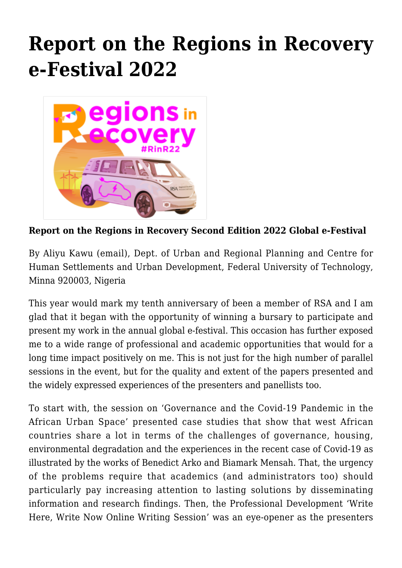## **[Report on the Regions in Recovery](https://regions.regionalstudies.org/ezine/article/issue-12-report-aliyu-kawu/) [e-Festival 2022](https://regions.regionalstudies.org/ezine/article/issue-12-report-aliyu-kawu/)**



**Report on the Regions in Recovery Second Edition 2022 Global e-Festival**

By [Aliyu Kawu](https://www.researchgate.net/profile/Aliyu-Kawu) [\(email\)](mailto:aliyukawu@futminna.edu.ng), Dept. of Urban and Regional Planning and Centre for Human Settlements and Urban Development, Federal University of Technology, Minna 920003, Nigeria

This year would mark my tenth anniversary of been a member of RSA and I am glad that it began with the opportunity of winning a bursary to participate and present my work in the annual global e-festival. This occasion has further exposed me to a wide range of professional and academic opportunities that would for a long time impact positively on me. This is not just for the high number of parallel sessions in the event, but for the quality and extent of the papers presented and the widely expressed experiences of the presenters and panellists too.

To start with, the session on 'Governance and the Covid-19 Pandemic in the African Urban Space' presented case studies that show that west African countries share a lot in terms of the challenges of governance, housing, environmental degradation and the experiences in the recent case of Covid-19 as illustrated by the works of Benedict Arko and Biamark Mensah. That, the urgency of the problems require that academics (and administrators too) should particularly pay increasing attention to lasting solutions by disseminating information and research findings. Then, the Professional Development 'Write Here, Write Now Online Writing Session' was an eye-opener as the presenters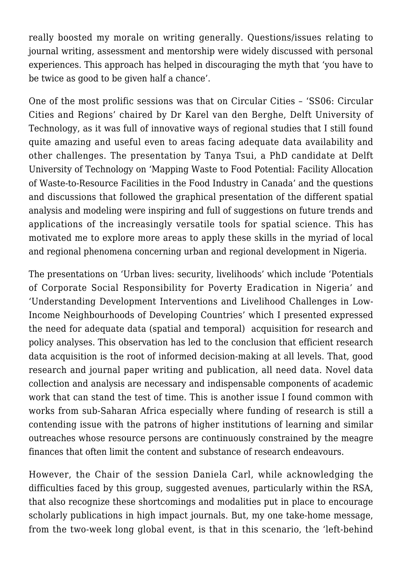really boosted my morale on writing generally. Questions/issues relating to journal writing, assessment and mentorship were widely discussed with personal experiences. This approach has helped in discouraging the myth that 'you have to be twice as good to be given half a chance'.

One of the most prolific sessions was that on Circular Cities – 'SS06: Circular Cities and Regions' chaired by Dr Karel van den Berghe, Delft University of Technology, as it was full of innovative ways of regional studies that I still found quite amazing and useful even to areas facing adequate data availability and other challenges. The presentation by Tanya Tsui, a PhD candidate at Delft University of Technology on '[Mapping Waste to Food Potential: Facility Allocation](https://events.rdmobile.com/Lists/Details/1317280) [of Waste-to-Resource Facilities in the Food Industry in Canada](https://events.rdmobile.com/Lists/Details/1317280)' and the questions and discussions that followed the graphical presentation of the different spatial analysis and modeling were inspiring and full of suggestions on future trends and applications of the increasingly versatile tools for spatial science. This has motivated me to explore more areas to apply these skills in the myriad of local and regional phenomena concerning urban and regional development in Nigeria.

The presentations on 'Urban lives: security, livelihoods' which include '[Potentials](https://events.rdmobile.com/Lists/Details/1316954) [of Corporate Social Responsibility for Poverty Eradication in Nigeria](https://events.rdmobile.com/Lists/Details/1316954)' and '[Understanding Development Interventions and Livelihood Challenges in Low-](https://events.rdmobile.com/Lists/Details/1316928)[Income Neighbourhoods of Developing Countries](https://events.rdmobile.com/Lists/Details/1316928)' which I presented expressed the need for adequate data (spatial and temporal) acquisition for research and policy analyses. This observation has led to the conclusion that efficient research data acquisition is the root of informed decision-making at all levels. That, good research and journal paper writing and publication, all need data. Novel data collection and analysis are necessary and indispensable components of academic work that can stand the test of time. This is another issue I found common with works from sub-Saharan Africa especially where funding of research is still a contending issue with the patrons of higher institutions of learning and similar outreaches whose resource persons are continuously constrained by the meagre finances that often limit the content and substance of research endeavours.

However, the Chair of the session Daniela Carl, while acknowledging the difficulties faced by this group, suggested avenues, particularly within the RSA, that also recognize these shortcomings and modalities put in place to encourage scholarly publications in high impact journals. But, my one take-home message, from the two-week long global event, is that in this scenario, the 'left-behind